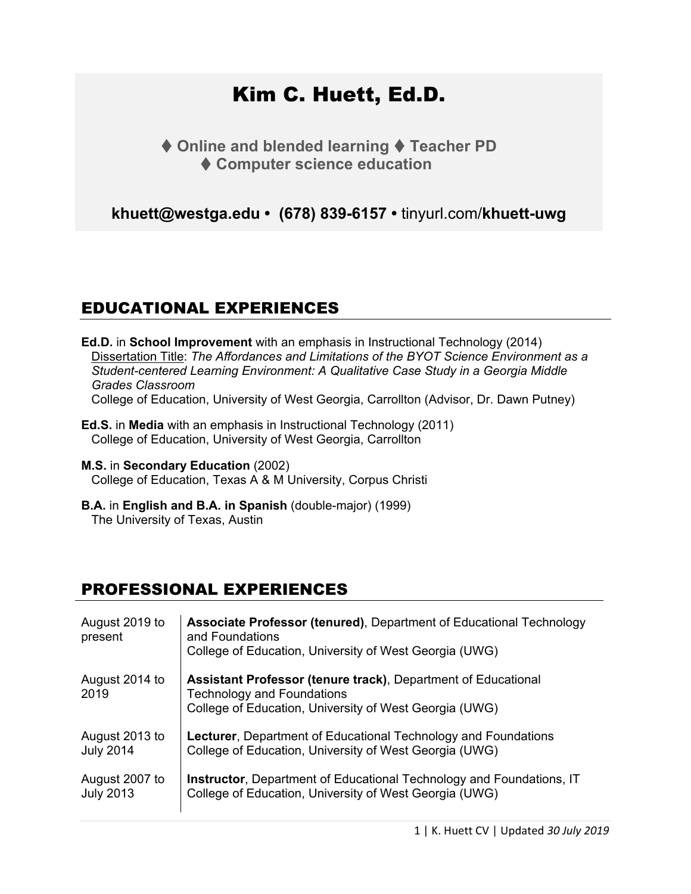# Kim C. Huett, Ed.D.

♦ Online and blended learning ♦ Teacher PD **Computer science education** 

**khuett@westga.edu • (678) 839-6157 •** tinyurl.com/**[khuett-uwg](https://www.westga.edu/academics/education/profile.php?emp_id=15530)**

# EDUCATIONAL EXPERIENCES

**Ed.D.** in **School Improvement** with an emphasis in Instructional Technology (2014) Dissertation Title: *The Affordances and Limitations of the BYOT Science Environment as a Student-centered Learning Environment: A Qualitative Case Study in a Georgia Middle Grades Classroom* College of Education, University of West Georgia, Carrollton (Advisor, Dr. Dawn Putney)

- **Ed.S.** in **Media** with an emphasis in Instructional Technology (2011) College of Education, University of West Georgia, Carrollton
- **M.S.** in **Secondary Education** (2002) College of Education, Texas A & M University, Corpus Christi
- **B.A.** in **English and B.A. in Spanish** (double-major) (1999) The University of Texas, Austin

## PROFESSIONAL EXPERIENCES

| August 2019 to<br>present | Associate Professor (tenured), Department of Educational Technology<br>and Foundations<br>College of Education, University of West Georgia (UWG)                    |
|---------------------------|---------------------------------------------------------------------------------------------------------------------------------------------------------------------|
| August 2014 to<br>2019    | <b>Assistant Professor (tenure track), Department of Educational</b><br><b>Technology and Foundations</b><br>College of Education, University of West Georgia (UWG) |
| August 2013 to            | <b>Lecturer, Department of Educational Technology and Foundations</b>                                                                                               |
| <b>July 2014</b>          | College of Education, University of West Georgia (UWG)                                                                                                              |
| August 2007 to            | <b>Instructor, Department of Educational Technology and Foundations, IT</b>                                                                                         |
| <b>July 2013</b>          | College of Education, University of West Georgia (UWG)                                                                                                              |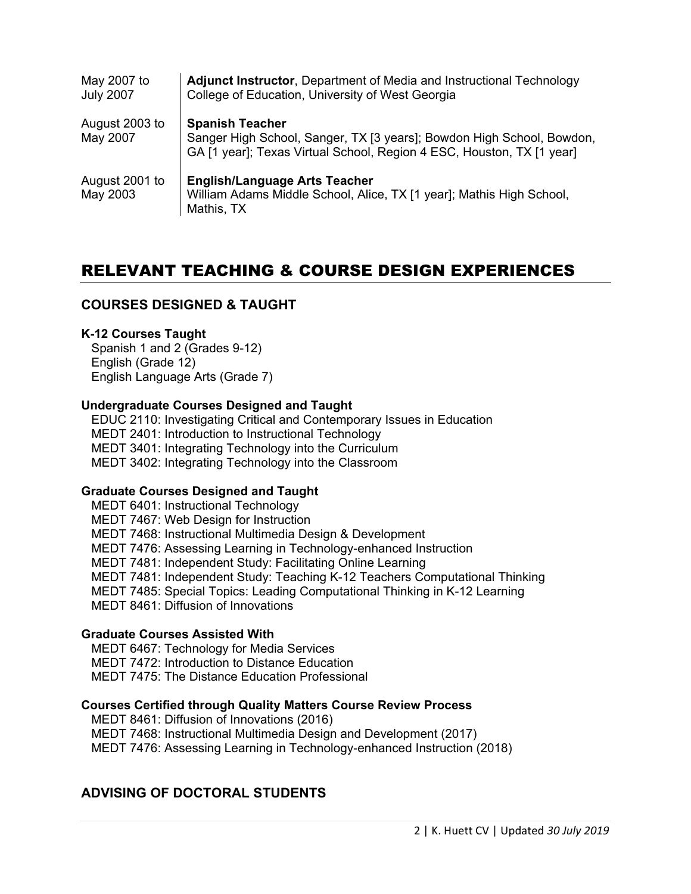| May 2007 to<br><b>July 2007</b> | <b>Adjunct Instructor, Department of Media and Instructional Technology</b><br>College of Education, University of West Georgia                                          |
|---------------------------------|--------------------------------------------------------------------------------------------------------------------------------------------------------------------------|
| August 2003 to<br>May 2007      | <b>Spanish Teacher</b><br>Sanger High School, Sanger, TX [3 years]; Bowdon High School, Bowdon,<br>GA [1 year]; Texas Virtual School, Region 4 ESC, Houston, TX [1 year] |
| August 2001 to<br>May 2003      | <b>English/Language Arts Teacher</b><br>William Adams Middle School, Alice, TX [1 year]; Mathis High School,<br>Mathis, TX                                               |

# RELEVANT TEACHING & COURSE DESIGN EXPERIENCES

#### **COURSES DESIGNED & TAUGHT**

#### **K-12 Courses Taught**

Spanish 1 and 2 (Grades 9-12) English (Grade 12) English Language Arts (Grade 7)

#### **Undergraduate Courses Designed and Taught**

EDUC 2110: Investigating Critical and Contemporary Issues in Education MEDT 2401: Introduction to Instructional Technology MEDT 3401: Integrating Technology into the Curriculum MEDT 3402: Integrating Technology into the Classroom

#### **Graduate Courses Designed and Taught**

MEDT 6401: Instructional Technology MEDT 7467: Web Design for Instruction MEDT 7468: Instructional Multimedia Design & Development MEDT 7476: Assessing Learning in Technology-enhanced Instruction MEDT 7481: Independent Study: Facilitating Online Learning MEDT 7481: Independent Study: Teaching K-12 Teachers Computational Thinking MEDT 7485: Special Topics: Leading Computational Thinking in K-12 Learning MEDT 8461: Diffusion of Innovations

#### **Graduate Courses Assisted With**

MEDT 6467: Technology for Media Services MEDT 7472: Introduction to Distance Education MEDT 7475: The Distance Education Professional

#### **Courses Certified through Quality Matters Course Review Process**

MEDT 8461: Diffusion of Innovations (2016) MEDT 7468: Instructional Multimedia Design and Development (2017) MEDT 7476: Assessing Learning in Technology-enhanced Instruction (2018)

#### **ADVISING OF DOCTORAL STUDENTS**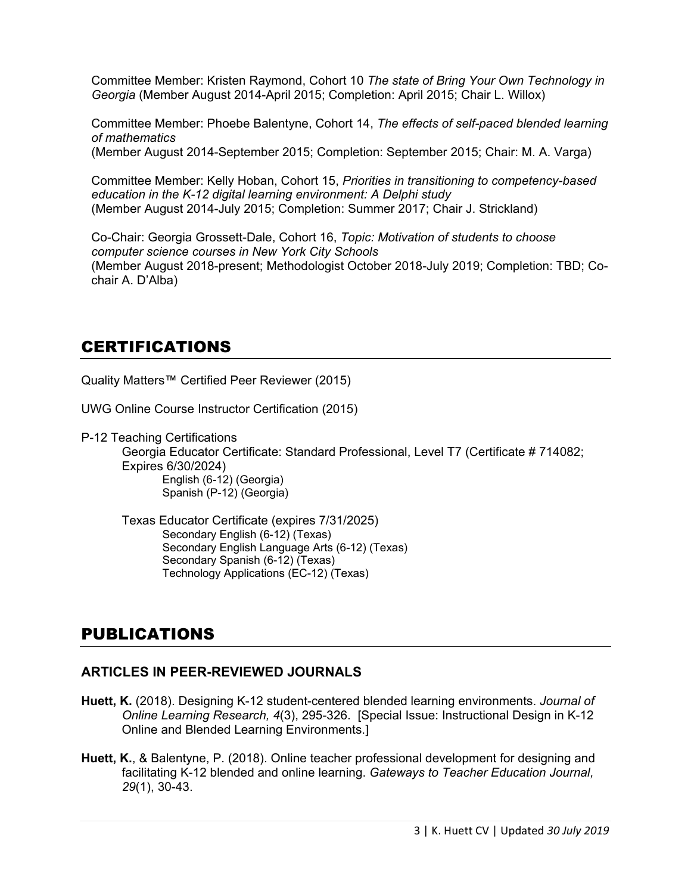Committee Member: Kristen Raymond, Cohort 10 *The state of Bring Your Own Technology in Georgia* (Member August 2014-April 2015; Completion: April 2015; Chair L. Willox)

Committee Member: Phoebe Balentyne, Cohort 14, *The effects of self-paced blended learning of mathematics* (Member August 2014-September 2015; Completion: September 2015; Chair: M. A. Varga)

Committee Member: Kelly Hoban, Cohort 15, *Priorities in transitioning to competency-based education in the K-12 digital learning environment: A Delphi study* (Member August 2014-July 2015; Completion: Summer 2017; Chair J. Strickland)

Co-Chair: Georgia Grossett-Dale, Cohort 16, *Topic: Motivation of students to choose computer science courses in New York City Schools* (Member August 2018-present; Methodologist October 2018-July 2019; Completion: TBD; Cochair A. D'Alba)

## CERTIFICATIONS

Quality Matters™ Certified Peer Reviewer (2015)

UWG Online Course Instructor Certification (2015)

P-12 Teaching Certifications

Georgia Educator Certificate: Standard Professional, Level T7 (Certificate # 714082; Expires 6/30/2024) English (6-12) (Georgia) Spanish (P-12) (Georgia)

Texas Educator Certificate (expires 7/31/2025) Secondary English (6-12) (Texas) Secondary English Language Arts (6-12) (Texas) Secondary Spanish (6-12) (Texas) Technology Applications (EC-12) (Texas)

# PUBLICATIONS

### **ARTICLES IN PEER-REVIEWED JOURNALS**

- **Huett, K.** (2018). Designing K-12 student-centered blended learning environments. *Journal of Online Learning Research, 4*(3), 295-326. [Special Issue: Instructional Design in K-12 Online and Blended Learning Environments.]
- **Huett, K.**, & Balentyne, P. (2018). Online teacher professional development for designing and facilitating K-12 blended and online learning. *Gateways to Teacher Education Journal, 29*(1), 30-43.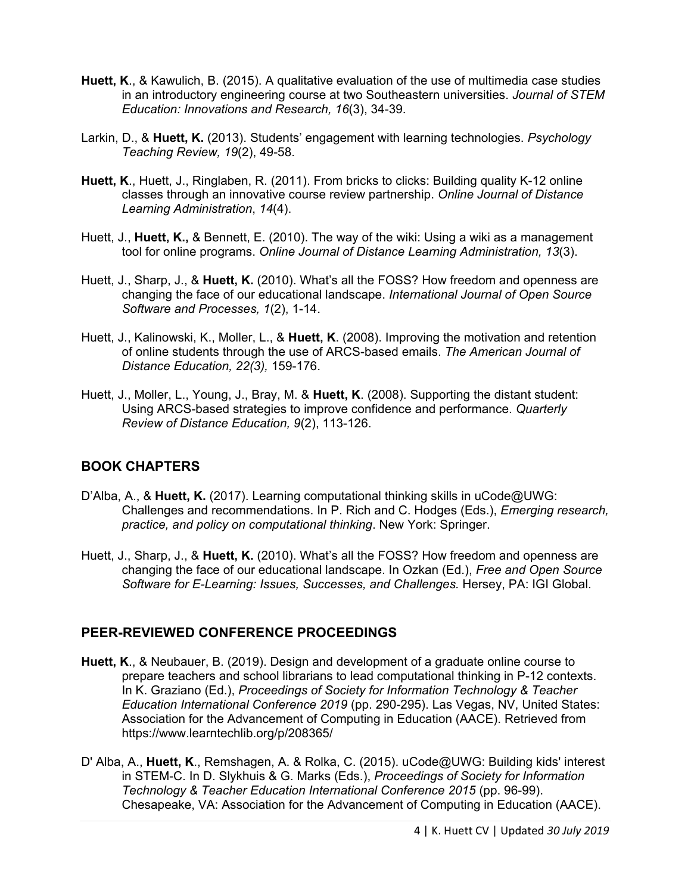- **Huett, K**., & Kawulich, B. (2015). A qualitative evaluation of the use of multimedia case studies in an introductory engineering course at two Southeastern universities. *Journal of STEM Education: Innovations and Research, 16*(3), 34-39.
- Larkin, D., & **Huett, K.** (2013). Students' engagement with learning technologies. *Psychology Teaching Review, 19*(2), 49-58.
- **Huett, K**., Huett, J., Ringlaben, R. (2011). From bricks to clicks: Building quality K-12 online classes through an innovative course review partnership. *Online Journal of Distance Learning Administration*, *14*(4).
- Huett, J., **Huett, K.,** & Bennett, E. (2010). The way of the wiki: Using a wiki as a management tool for online programs. *Online Journal of Distance Learning Administration, 13*(3).
- Huett, J., Sharp, J., & **Huett, K.** (2010). What's all the FOSS? How freedom and openness are changing the face of our educational landscape. *International Journal of Open Source Software and Processes, 1*(2), 1-14.
- Huett, J., Kalinowski, K., Moller, L., & **Huett, K**. (2008). Improving the motivation and retention of online students through the use of ARCS-based emails. *The American Journal of Distance Education, 22(3),* 159-176.
- Huett, J., Moller, L., Young, J., Bray, M. & **Huett, K**. (2008). Supporting the distant student: Using ARCS-based strategies to improve confidence and performance. *Quarterly Review of Distance Education, 9*(2), 113-126.

#### **BOOK CHAPTERS**

- D'Alba, A., & **Huett, K.** (2017). Learning computational thinking skills in uCode@UWG: Challenges and recommendations. In P. Rich and C. Hodges (Eds.), *Emerging research, practice, and policy on computational thinking*. New York: Springer.
- Huett, J., Sharp, J., & **Huett, K.** (2010). What's all the FOSS? How freedom and openness are changing the face of our educational landscape. In Ozkan (Ed.), *Free and Open Source Software for E-Learning: Issues, Successes, and Challenges. Hersey, PA: IGI Global.*

### **PEER-REVIEWED CONFERENCE PROCEEDINGS**

- **Huett, K**., & Neubauer, B. (2019). Design and development of a graduate online course to prepare teachers and school librarians to lead computational thinking in P-12 contexts. In K. Graziano (Ed.), *Proceedings of Society for Information Technology & Teacher Education International Conference 2019* (pp. 290-295). Las Vegas, NV, United States: Association for the Advancement of Computing in Education (AACE). Retrieved from https://www.learntechlib.org/p/208365/
- D' Alba, A., **Huett, K**., Remshagen, A. & Rolka, C. (2015). uCode@UWG: Building kids' interest in STEM-C. In D. Slykhuis & G. Marks (Eds.), *Proceedings of Society for Information Technology & Teacher Education International Conference 2015* (pp. 96-99). Chesapeake, VA: Association for the Advancement of Computing in Education (AACE).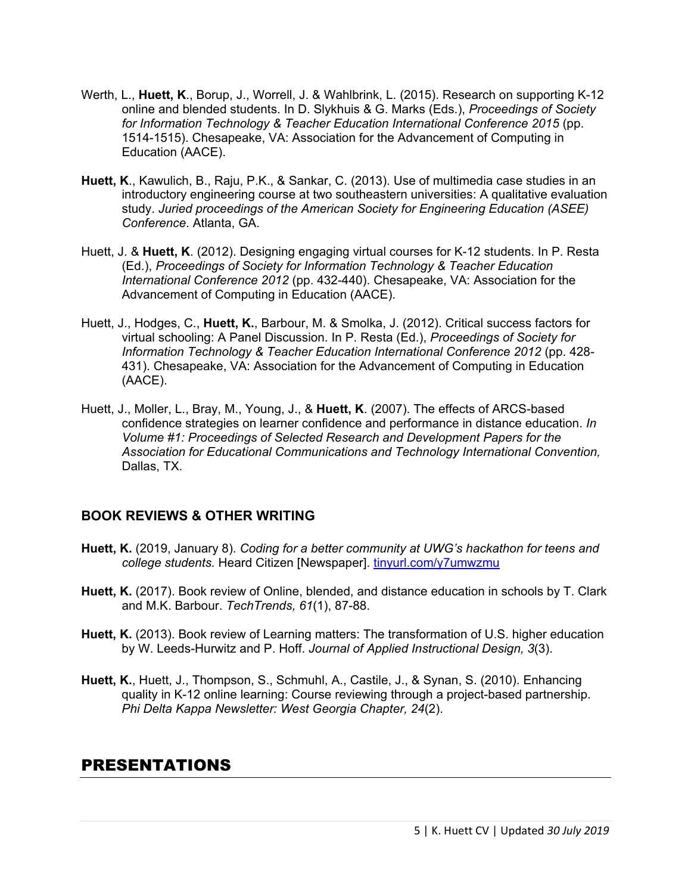- Werth, L., **Huett, K**., Borup, J., Worrell, J. & Wahlbrink, L. (2015). Research on supporting K-12 online and blended students. In D. Slykhuis & G. Marks (Eds.), *Proceedings of Society for Information Technology & Teacher Education International Conference 2015* (pp. 1514-1515). Chesapeake, VA: Association for the Advancement of Computing in Education (AACE).
- **Huett, K**., Kawulich, B., Raju, P.K., & Sankar, C. (2013). Use of multimedia case studies in an introductory engineering course at two southeastern universities: A qualitative evaluation study. *Juried proceedings of the American Society for Engineering Education (ASEE) Conference*. Atlanta, GA.
- Huett, J. & **Huett, K**. (2012). Designing engaging virtual courses for K-12 students. In P. Resta (Ed.), *Proceedings of Society for Information Technology & Teacher Education International Conference 2012* (pp. 432-440). Chesapeake, VA: Association for the Advancement of Computing in Education (AACE).
- Huett, J., Hodges, C., **Huett, K.**, Barbour, M. & Smolka, J. (2012). Critical success factors for virtual schooling: A Panel Discussion. In P. Resta (Ed.), *Proceedings of Society for Information Technology & Teacher Education International Conference 2012* (pp. 428- 431). Chesapeake, VA: Association for the Advancement of Computing in Education (AACE).
- Huett, J., Moller, L., Bray, M., Young, J., & **Huett, K**. (2007). The effects of ARCS-based confidence strategies on learner confidence and performance in distance education. *In Volume #1: Proceedings of Selected Research and Development Papers for the Association for Educational Communications and Technology International Convention,* Dallas, TX.

### **BOOK REVIEWS & OTHER WRITING**

- **Huett, K.** (2019, January 8). *Coding for a better community at UWG's hackathon for teens and college students.* Heard Citizen [Newspaper]. [tinyurl.com/y7umwzmu](https://tinyurl.com/y7umwzmu)
- **Huett, K.** (2017). Book review of Online, blended, and distance education in schools by T. Clark and M.K. Barbour. *TechTrends, 61*(1), 87-88.
- **Huett, K.** (2013). Book review of Learning matters: The transformation of U.S. higher education by W. Leeds-Hurwitz and P. Hoff. *Journal of Applied Instructional Design, 3*(3).
- **Huett, K.**, Huett, J., Thompson, S., Schmuhl, A., Castile, J., & Synan, S. (2010). Enhancing quality in K-12 online learning: Course reviewing through a project-based partnership. *Phi Delta Kappa Newsletter: West Georgia Chapter, 24*(2).

### PRESENTATIONS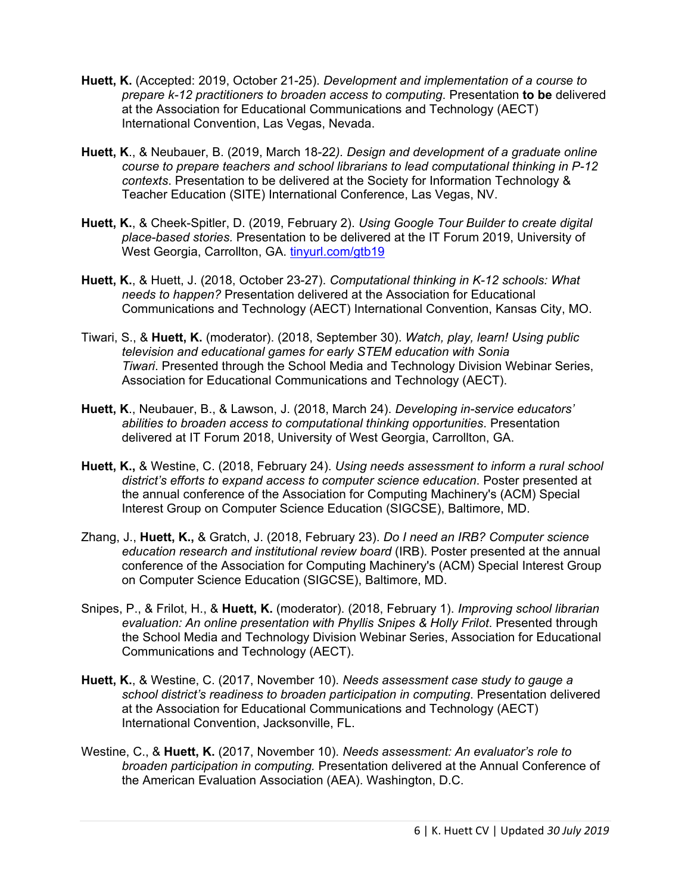- **Huett, K.** (Accepted: 2019, October 21-25). *Development and implementation of a course to prepare k-12 practitioners to broaden access to computing*. Presentation **to be** delivered at the Association for Educational Communications and Technology (AECT) International Convention, Las Vegas, Nevada.
- **Huett, K**., & Neubauer, B. (2019, March 18-22*). Design and development of a graduate online course to prepare teachers and school librarians to lead computational thinking in P-12 contexts*. Presentation to be delivered at the Society for Information Technology & Teacher Education (SITE) International Conference, Las Vegas, NV.
- **Huett, K.**, & Cheek-Spitler, D. (2019, February 2). *Using Google Tour Builder to create digital place-based stories.* Presentation to be delivered at the IT Forum 2019, University of West Georgia, Carrollton, GA. [tinyurl.com/gtb19](https://sites.google.com/westga.edu/kim-c-huett/google-tour-builder)
- **Huett, K.**, & Huett, J. (2018, October 23-27). *Computational thinking in K-12 schools: What needs to happen?* Presentation delivered at the Association for Educational Communications and Technology (AECT) International Convention, Kansas City, MO.
- Tiwari, S., & **Huett, K.** (moderator). (2018, September 30). *Watch, play, learn! Using public television and educational games for early STEM education with Sonia Tiwari*. Presented through the School Media and Technology Division Webinar Series, Association for Educational Communications and Technology (AECT).
- **Huett, K**., Neubauer, B., & Lawson, J. (2018, March 24). *Developing in-service educators' abilities to broaden access to computational thinking opportunities*. Presentation delivered at IT Forum 2018, University of West Georgia, Carrollton, GA.
- **Huett, K.,** & Westine, C. (2018, February 24). *Using needs assessment to inform a rural school district's efforts to expand access to computer science education*. Poster presented at the annual conference of the Association for Computing Machinery's (ACM) Special Interest Group on Computer Science Education (SIGCSE), Baltimore, MD.
- Zhang, J., **Huett, K.,** & Gratch, J. (2018, February 23). *Do I need an IRB? Computer science education research and institutional review board* (IRB). Poster presented at the annual conference of the Association for Computing Machinery's (ACM) Special Interest Group on Computer Science Education (SIGCSE), Baltimore, MD.
- Snipes, P., & Frilot, H., & **Huett, K.** (moderator). (2018, February 1). *Improving school librarian evaluation: An online presentation with Phyllis Snipes & Holly Frilot*. Presented through the School Media and Technology Division Webinar Series, Association for Educational Communications and Technology (AECT).
- **Huett, K.**, & Westine, C. (2017, November 10). *Needs assessment case study to gauge a school district's readiness to broaden participation in computing*. Presentation delivered at the Association for Educational Communications and Technology (AECT) International Convention, Jacksonville, FL.
- Westine, C., & **Huett, K.** (2017, November 10). *Needs assessment: An evaluator's role to broaden participation in computing.* Presentation delivered at the Annual Conference of the American Evaluation Association (AEA). Washington, D.C.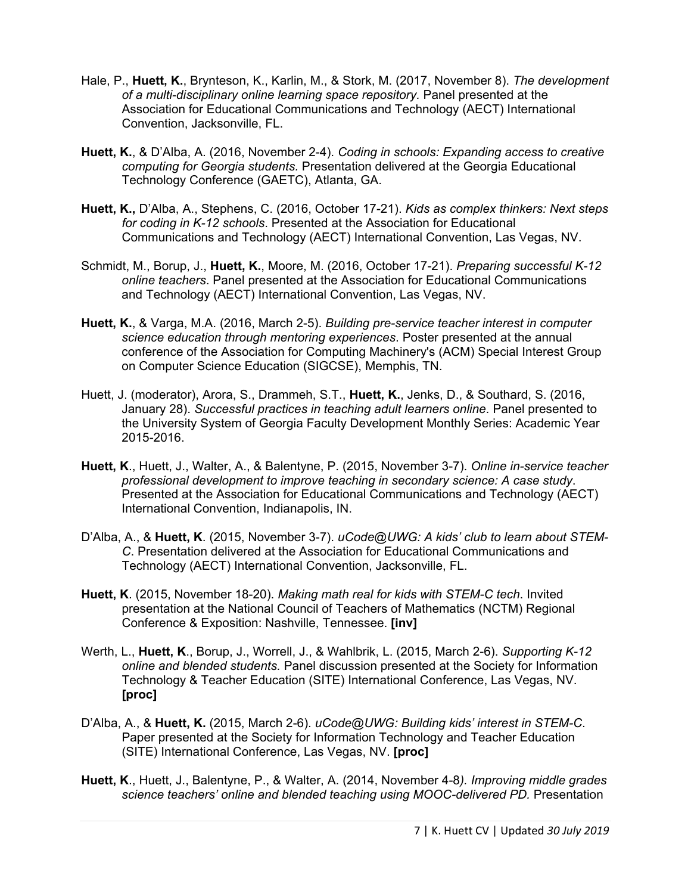- Hale, P., **Huett, K.**, Brynteson, K., Karlin, M., & Stork, M. (2017, November 8). *The development of a multi-disciplinary online learning space repository.* Panel presented at the Association for Educational Communications and Technology (AECT) International Convention, Jacksonville, FL.
- **Huett, K.**, & D'Alba, A. (2016, November 2-4). *Coding in schools: Expanding access to creative computing for Georgia students.* Presentation delivered at the Georgia Educational Technology Conference (GAETC), Atlanta, GA.
- **Huett, K.,** D'Alba, A., Stephens, C. (2016, October 17-21). *Kids as complex thinkers: Next steps for coding in K-12 schools*. Presented at the Association for Educational Communications and Technology (AECT) International Convention, Las Vegas, NV.
- Schmidt, M., Borup, J., **Huett, K.**, Moore, M. (2016, October 17-21). *Preparing successful K-12 online teachers*. Panel presented at the Association for Educational Communications and Technology (AECT) International Convention, Las Vegas, NV.
- **Huett, K.**, & Varga, M.A. (2016, March 2-5). *Building pre-service teacher interest in computer science education through mentoring experiences*. Poster presented at the annual conference of the Association for Computing Machinery's (ACM) Special Interest Group on Computer Science Education (SIGCSE), Memphis, TN.
- Huett, J. (moderator), Arora, S., Drammeh, S.T., **Huett, K.**, Jenks, D., & Southard, S. (2016, January 28). *Successful practices in teaching adult learners online*. Panel presented to the University System of Georgia Faculty Development Monthly Series: Academic Year 2015-2016.
- **Huett, K**., Huett, J., Walter, A., & Balentyne, P. (2015, November 3-7). *Online in-service teacher professional development to improve teaching in secondary science: A case study*. Presented at the Association for Educational Communications and Technology (AECT) International Convention, Indianapolis, IN.
- D'Alba, A., & **Huett, K**. (2015, November 3-7). *uCode@UWG: A kids' club to learn about STEM-C*. Presentation delivered at the Association for Educational Communications and Technology (AECT) International Convention, Jacksonville, FL.
- **Huett, K**. (2015, November 18-20). *Making math real for kids with STEM-C tech*. Invited presentation at the National Council of Teachers of Mathematics (NCTM) Regional Conference & Exposition: Nashville, Tennessee. **[inv]**
- Werth, L., **Huett, K**., Borup, J., Worrell, J., & Wahlbrik, L. (2015, March 2-6). *Supporting K-12 online and blended students.* Panel discussion presented at the Society for Information Technology & Teacher Education (SITE) International Conference, Las Vegas, NV. **[proc]**
- D'Alba, A., & **Huett, K.** (2015, March 2-6). *uCode@UWG: Building kids' interest in STEM-C*. Paper presented at the Society for Information Technology and Teacher Education (SITE) International Conference, Las Vegas, NV. **[proc]**
- **Huett, K**., Huett, J., Balentyne, P., & Walter, A. (2014, November 4-8*). Improving middle grades science teachers' online and blended teaching using MOOC-delivered PD.* Presentation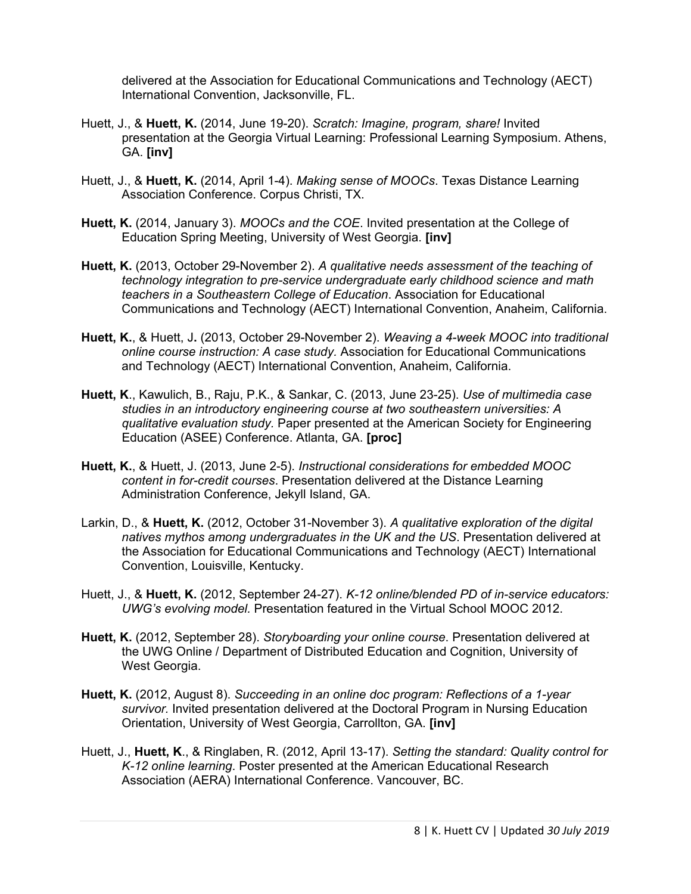delivered at the Association for Educational Communications and Technology (AECT) International Convention, Jacksonville, FL.

- Huett, J., & **Huett, K.** (2014, June 19-20). *Scratch: Imagine, program, share!* Invited presentation at the Georgia Virtual Learning: Professional Learning Symposium. Athens, GA. **[inv]**
- Huett, J., & **Huett, K.** (2014, April 1-4). *Making sense of MOOCs*. Texas Distance Learning Association Conference. Corpus Christi, TX.
- **Huett, K.** (2014, January 3). *MOOCs and the COE*. Invited presentation at the College of Education Spring Meeting, University of West Georgia. **[inv]**
- **Huett, K.** (2013, October 29-November 2). *A qualitative needs assessment of the teaching of technology integration to pre-service undergraduate early childhood science and math teachers in a Southeastern College of Education*. Association for Educational Communications and Technology (AECT) International Convention, Anaheim, California.
- **Huett, K.**, & Huett, J**.** (2013, October 29-November 2). *Weaving a 4-week MOOC into traditional online course instruction: A case study.* Association for Educational Communications and Technology (AECT) International Convention, Anaheim, California.
- **Huett, K**., Kawulich, B., Raju, P.K., & Sankar, C. (2013, June 23-25). *Use of multimedia case studies in an introductory engineering course at two southeastern universities: A qualitative evaluation study.* Paper presented at the American Society for Engineering Education (ASEE) Conference. Atlanta, GA. **[proc]**
- **Huett, K.**, & Huett, J. (2013, June 2-5). *Instructional considerations for embedded MOOC content in for-credit courses*. Presentation delivered at the Distance Learning Administration Conference, Jekyll Island, GA.
- Larkin, D., & **Huett, K.** (2012, October 31-November 3). *A qualitative exploration of the digital natives mythos among undergraduates in the UK and the US*. Presentation delivered at the Association for Educational Communications and Technology (AECT) International Convention, Louisville, Kentucky.
- Huett, J., & **Huett, K.** (2012, September 24-27). *K-12 online/blended PD of in-service educators: UWG's evolving model.* Presentation featured in the Virtual School MOOC 2012.
- **Huett, K.** (2012, September 28). *Storyboarding your online course*. Presentation delivered at the UWG Online / Department of Distributed Education and Cognition, University of West Georgia.
- **Huett, K.** (2012, August 8). *Succeeding in an online doc program: Reflections of a 1-year survivor.* Invited presentation delivered at the Doctoral Program in Nursing Education Orientation, University of West Georgia, Carrollton, GA. **[inv]**
- Huett, J., **Huett, K**., & Ringlaben, R. (2012, April 13-17). *Setting the standard: Quality control for K-12 online learning*. Poster presented at the American Educational Research Association (AERA) International Conference. Vancouver, BC.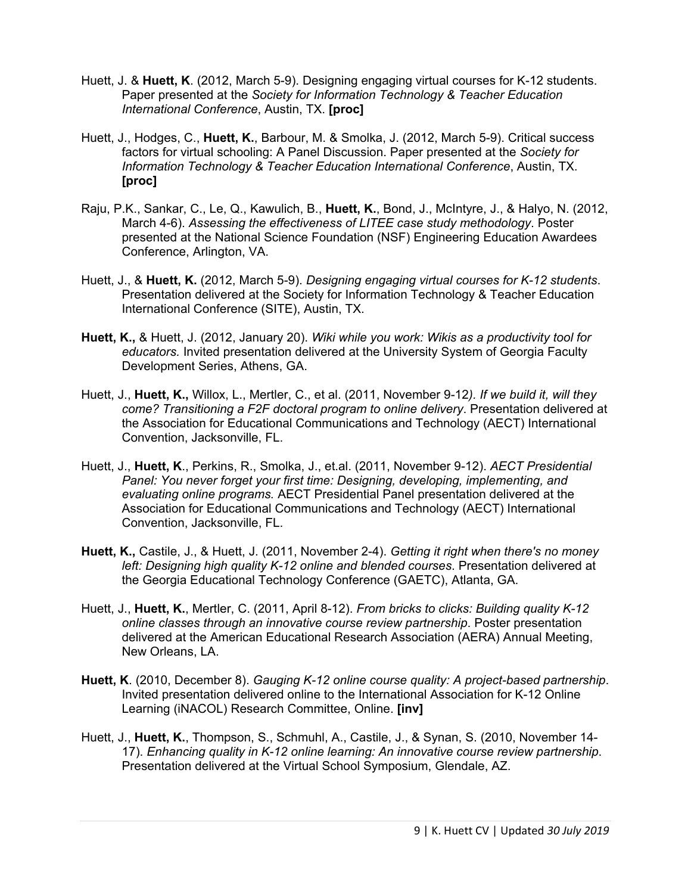- Huett, J. & **Huett, K**. (2012, March 5-9). Designing engaging virtual courses for K-12 students. Paper presented at the *Society for Information Technology & Teacher Education International Conference*, Austin, TX. **[proc]**
- Huett, J., Hodges, C., **Huett, K.**, Barbour, M. & Smolka, J. (2012, March 5-9). Critical success factors for virtual schooling: A Panel Discussion. Paper presented at the *Society for Information Technology & Teacher Education International Conference*, Austin, TX. **[proc]**
- Raju, P.K., Sankar, C., Le, Q., Kawulich, B., **Huett, K.**, Bond, J., McIntyre, J., & Halyo, N. (2012, March 4-6). *Assessing the effectiveness of LITEE case study methodology*. Poster presented at the National Science Foundation (NSF) Engineering Education Awardees Conference, Arlington, VA.
- Huett, J., & **Huett, K.** (2012, March 5-9). *Designing engaging virtual courses for K-12 students*. Presentation delivered at the Society for Information Technology & Teacher Education International Conference (SITE), Austin, TX.
- **Huett, K.,** & Huett, J. (2012, January 20). *Wiki while you work: Wikis as a productivity tool for educators.* Invited presentation delivered at the University System of Georgia Faculty Development Series, Athens, GA.
- Huett, J., **Huett, K.,** Willox, L., Mertler, C., et al. (2011, November 9-12*). If we build it, will they come? Transitioning a F2F doctoral program to online delivery*. Presentation delivered at the Association for Educational Communications and Technology (AECT) International Convention, Jacksonville, FL.
- Huett, J., **Huett, K**., Perkins, R., Smolka, J., et.al. (2011, November 9-12). *AECT Presidential Panel: You never forget your first time: Designing, developing, implementing, and evaluating online programs.* AECT Presidential Panel presentation delivered at the Association for Educational Communications and Technology (AECT) International Convention, Jacksonville, FL.
- **Huett, K.,** Castile, J., & Huett, J. (2011, November 2-4). *Getting it right when there's no money left: Designing high quality K-12 online and blended courses*. Presentation delivered at the Georgia Educational Technology Conference (GAETC), Atlanta, GA.
- Huett, J., **Huett, K.**, Mertler, C. (2011, April 8-12). *From bricks to clicks: Building quality K-12 online classes through an innovative course review partnership*. Poster presentation delivered at the American Educational Research Association (AERA) Annual Meeting, New Orleans, LA.
- **Huett, K**. (2010, December 8). *Gauging K-12 online course quality: A project-based partnership*. Invited presentation delivered online to the International Association for K-12 Online Learning (iNACOL) Research Committee, Online. **[inv]**
- Huett, J., **Huett, K.**, Thompson, S., Schmuhl, A., Castile, J., & Synan, S. (2010, November 14- 17). *Enhancing quality in K-12 online learning: An innovative course review partnership*. Presentation delivered at the Virtual School Symposium, Glendale, AZ.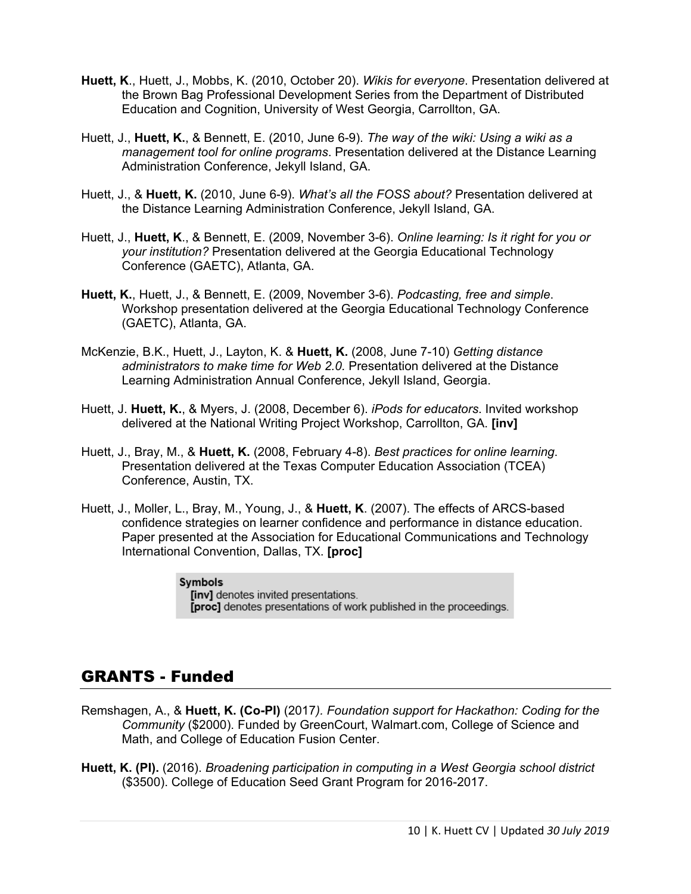- **Huett, K**., Huett, J., Mobbs, K. (2010, October 20). *Wikis for everyone*. Presentation delivered at the Brown Bag Professional Development Series from the Department of Distributed Education and Cognition, University of West Georgia, Carrollton, GA.
- Huett, J., **Huett, K.**, & Bennett, E. (2010, June 6-9). *The way of the wiki: Using a wiki as a management tool for online programs*. Presentation delivered at the Distance Learning Administration Conference, Jekyll Island, GA.
- Huett, J., & **Huett, K.** (2010, June 6-9). *What's all the FOSS about?* Presentation delivered at the Distance Learning Administration Conference, Jekyll Island, GA.
- Huett, J., **Huett, K**., & Bennett, E. (2009, November 3-6). *Online learning: Is it right for you or your institution?* Presentation delivered at the Georgia Educational Technology Conference (GAETC), Atlanta, GA.
- **Huett, K.**, Huett, J., & Bennett, E. (2009, November 3-6). *Podcasting, free and simple*. Workshop presentation delivered at the Georgia Educational Technology Conference (GAETC), Atlanta, GA.
- McKenzie, B.K., Huett, J., Layton, K. & **Huett, K.** (2008, June 7-10) *Getting distance administrators to make time for Web 2.0.* Presentation delivered at the Distance Learning Administration Annual Conference, Jekyll Island, Georgia.
- Huett, J. **Huett, K.**, & Myers, J. (2008, December 6). *iPods for educators*. Invited workshop delivered at the National Writing Project Workshop, Carrollton, GA. **[inv]**
- Huett, J., Bray, M., & **Huett, K.** (2008, February 4-8). *Best practices for online learning*. Presentation delivered at the Texas Computer Education Association (TCEA) Conference, Austin, TX.
- Huett, J., Moller, L., Bray, M., Young, J., & **Huett, K**. (2007). The effects of ARCS-based confidence strategies on learner confidence and performance in distance education. Paper presented at the Association for Educational Communications and Technology International Convention, Dallas, TX. **[proc]**

**Symbols** [inv] denotes invited presentations. [proc] denotes presentations of work published in the proceedings.

## GRANTS - Funded

- Remshagen, A., & **Huett, K. (Co-PI)** (2017*). Foundation support for Hackathon: Coding for the Community* (\$2000). Funded by GreenCourt, Walmart.com, College of Science and Math, and College of Education Fusion Center.
- **Huett, K. (PI).** (2016). *Broadening participation in computing in a West Georgia school district* (\$3500). College of Education Seed Grant Program for 2016-2017.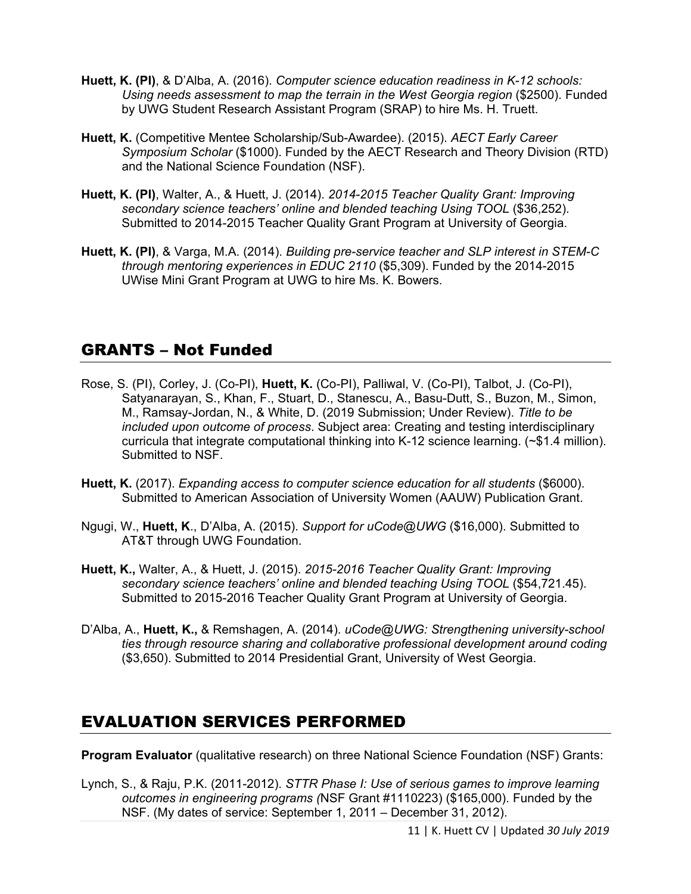- **Huett, K. (PI)**, & D'Alba, A. (2016). *Computer science education readiness in K-12 schools: Using needs assessment to map the terrain in the West Georgia region* (\$2500). Funded by UWG Student Research Assistant Program (SRAP) to hire Ms. H. Truett.
- **Huett, K.** (Competitive Mentee Scholarship/Sub-Awardee). (2015). *AECT Early Career Symposium Scholar* (\$1000). Funded by the AECT Research and Theory Division (RTD) and the National Science Foundation (NSF).
- **Huett, K. (PI)**, Walter, A., & Huett, J. (2014). *2014-2015 Teacher Quality Grant: Improving secondary science teachers' online and blended teaching Using TOOL* (\$36,252). Submitted to 2014-2015 Teacher Quality Grant Program at University of Georgia.
- **Huett, K. (PI)**, & Varga, M.A. (2014). *Building pre-service teacher and SLP interest in STEM-C through mentoring experiences in EDUC 2110* (\$5,309). Funded by the 2014-2015 UWise Mini Grant Program at UWG to hire Ms. K. Bowers.

## GRANTS – Not Funded

- Rose, S. (PI), Corley, J. (Co-PI), **Huett, K.** (Co-PI), Palliwal, V. (Co-PI), Talbot, J. (Co-PI), Satyanarayan, S., Khan, F., Stuart, D., Stanescu, A., Basu-Dutt, S., Buzon, M., Simon, M., Ramsay-Jordan, N., & White, D. (2019 Submission; Under Review). *Title to be included upon outcome of process*. Subject area: Creating and testing interdisciplinary curricula that integrate computational thinking into K-12 science learning. (~\$1.4 million). Submitted to NSF.
- **Huett, K.** (2017). *Expanding access to computer science education for all students* (\$6000). Submitted to American Association of University Women (AAUW) Publication Grant.
- Ngugi, W., **Huett, K**., D'Alba, A. (2015). *Support for uCode@UWG* (\$16,000). Submitted to AT&T through UWG Foundation.
- **Huett, K.,** Walter, A., & Huett, J. (2015). *2015-2016 Teacher Quality Grant: Improving secondary science teachers' online and blended teaching Using TOOL* (\$54,721.45). Submitted to 2015-2016 Teacher Quality Grant Program at University of Georgia.
- D'Alba, A., **Huett, K.,** & Remshagen, A. (2014). *uCode@UWG: Strengthening university-school ties through resource sharing and collaborative professional development around coding* (\$3,650). Submitted to 2014 Presidential Grant, University of West Georgia.

# EVALUATION SERVICES PERFORMED

**Program Evaluator** (qualitative research) on three National Science Foundation (NSF) Grants:

Lynch, S., & Raju, P.K. (2011-2012). *STTR Phase I: Use of serious games to improve learning outcomes in engineering programs (*NSF Grant #1110223) (\$165,000). Funded by the NSF. (My dates of service: September 1, 2011 – December 31, 2012).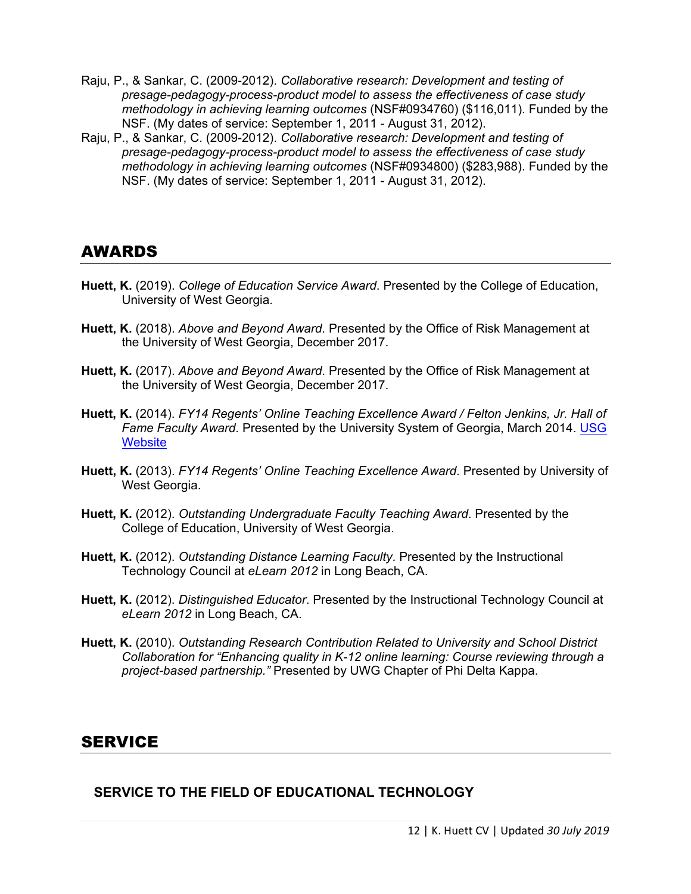- Raju, P., & Sankar, C. (2009-2012). *Collaborative research: Development and testing of presage-pedagogy-process-product model to assess the effectiveness of case study methodology in achieving learning outcomes* (NSF#0934760) (\$116,011). Funded by the NSF. (My dates of service: September 1, 2011 - August 31, 2012).
- Raju, P., & Sankar, C. (2009-2012). *Collaborative research: Development and testing of presage-pedagogy-process-product model to assess the effectiveness of case study methodology in achieving learning outcomes* (NSF#0934800) (\$283,988). Funded by the NSF. (My dates of service: September 1, 2011 - August 31, 2012).

### AWARDS

- **Huett, K.** (2019). *College of Education Service Award*. Presented by the College of Education, University of West Georgia.
- **Huett, K.** (2018). *Above and Beyond Award*. Presented by the Office of Risk Management at the University of West Georgia, December 2017.
- **Huett, K.** (2017). *Above and Beyond Award*. Presented by the Office of Risk Management at the University of West Georgia, December 2017.
- **Huett, K.** (2014). *FY14 Regents' Online Teaching Excellence Award / Felton Jenkins, Jr. Hall of*  Fame Faculty Award. Presented by the University System of Georgia, March 2014. USG **[Website](http://www.usg.edu/faculty_affairs/awards/2014_fiscal_year_regents_award_recipients)**
- **Huett, K.** (2013). *FY14 Regents' Online Teaching Excellence Award*. Presented by University of West Georgia.
- **Huett, K.** (2012). *Outstanding Undergraduate Faculty Teaching Award*. Presented by the College of Education, University of West Georgia.
- **Huett, K.** (2012). *Outstanding Distance Learning Faculty*. Presented by the Instructional Technology Council at *eLearn 2012* in Long Beach, CA.
- **Huett, K.** (2012). *Distinguished Educator*. Presented by the Instructional Technology Council at *eLearn 2012* in Long Beach, CA.
- **Huett, K.** (2010). *Outstanding Research Contribution Related to University and School District Collaboration for "Enhancing quality in K-12 online learning: Course reviewing through a project-based partnership."* Presented by UWG Chapter of Phi Delta Kappa.

### **SERVICE**

**SERVICE TO THE FIELD OF EDUCATIONAL TECHNOLOGY**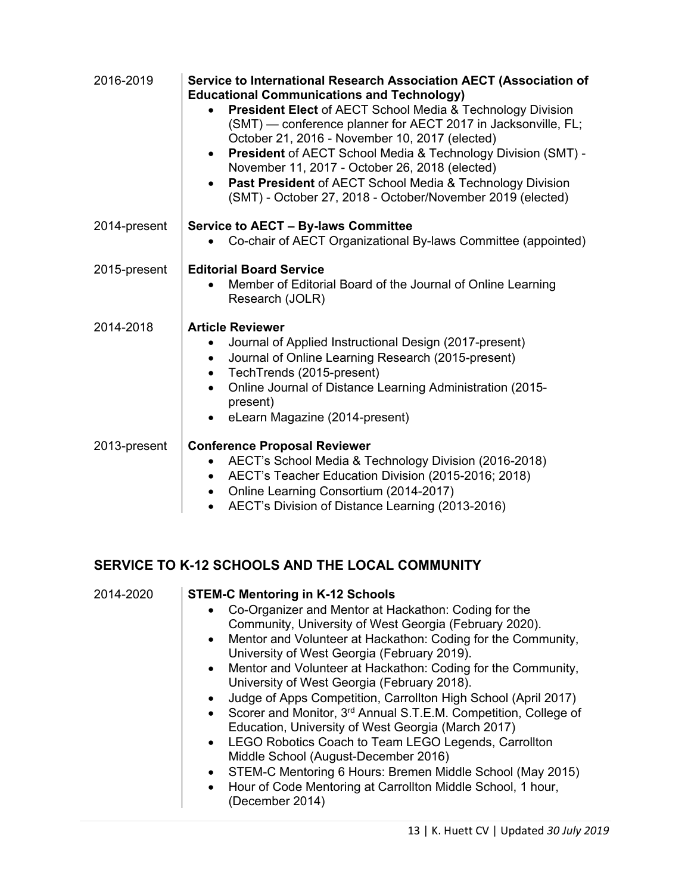| 2016-2019    | Service to International Research Association AECT (Association of<br><b>Educational Communications and Technology)</b><br><b>President Elect of AECT School Media &amp; Technology Division</b><br>(SMT) — conference planner for AECT 2017 in Jacksonville, FL;<br>October 21, 2016 - November 10, 2017 (elected)<br><b>President</b> of AECT School Media & Technology Division (SMT) -<br>$\bullet$<br>November 11, 2017 - October 26, 2018 (elected)<br>Past President of AECT School Media & Technology Division<br>(SMT) - October 27, 2018 - October/November 2019 (elected) |
|--------------|--------------------------------------------------------------------------------------------------------------------------------------------------------------------------------------------------------------------------------------------------------------------------------------------------------------------------------------------------------------------------------------------------------------------------------------------------------------------------------------------------------------------------------------------------------------------------------------|
| 2014-present | <b>Service to AECT - By-laws Committee</b><br>Co-chair of AECT Organizational By-laws Committee (appointed)                                                                                                                                                                                                                                                                                                                                                                                                                                                                          |
| 2015-present | <b>Editorial Board Service</b><br>Member of Editorial Board of the Journal of Online Learning<br>Research (JOLR)                                                                                                                                                                                                                                                                                                                                                                                                                                                                     |
| 2014-2018    | <b>Article Reviewer</b><br>Journal of Applied Instructional Design (2017-present)<br>Journal of Online Learning Research (2015-present)<br>TechTrends (2015-present)<br>Online Journal of Distance Learning Administration (2015-<br>present)<br>eLearn Magazine (2014-present)                                                                                                                                                                                                                                                                                                      |
| 2013-present | <b>Conference Proposal Reviewer</b><br>AECT's School Media & Technology Division (2016-2018)<br>AECT's Teacher Education Division (2015-2016; 2018)<br>Online Learning Consortium (2014-2017)<br>AECT's Division of Distance Learning (2013-2016)                                                                                                                                                                                                                                                                                                                                    |

# **SERVICE TO K-12 SCHOOLS AND THE LOCAL COMMUNITY**

| 2014-2020 | <b>STEM-C Mentoring in K-12 Schools</b>                                                  |
|-----------|------------------------------------------------------------------------------------------|
|           | Co-Organizer and Mentor at Hackathon: Coding for the<br>$\bullet$                        |
|           | Community, University of West Georgia (February 2020).                                   |
|           | Mentor and Volunteer at Hackathon: Coding for the Community,<br>$\bullet$                |
|           | University of West Georgia (February 2019).                                              |
|           | • Mentor and Volunteer at Hackathon: Coding for the Community,                           |
|           | University of West Georgia (February 2018).                                              |
|           | Judge of Apps Competition, Carrollton High School (April 2017)<br>$\bullet$              |
|           | Scorer and Monitor, 3 <sup>rd</sup> Annual S.T.E.M. Competition, College of<br>$\bullet$ |
|           | Education, University of West Georgia (March 2017)                                       |
|           | LEGO Robotics Coach to Team LEGO Legends, Carrollton<br>$\bullet$                        |
|           | Middle School (August-December 2016)                                                     |
|           | STEM-C Mentoring 6 Hours: Bremen Middle School (May 2015)<br>$\bullet$                   |
|           | Hour of Code Mentoring at Carrollton Middle School, 1 hour,<br>$\bullet$                 |
|           | (December 2014)                                                                          |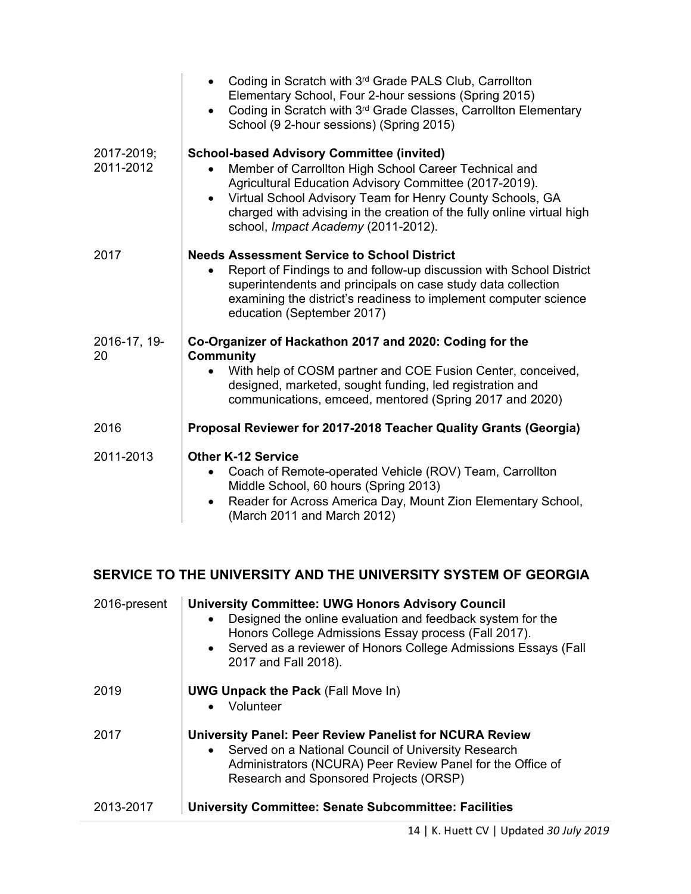|                         | Coding in Scratch with 3rd Grade PALS Club, Carrollton<br>Elementary School, Four 2-hour sessions (Spring 2015)<br>Coding in Scratch with 3rd Grade Classes, Carrollton Elementary<br>School (9 2-hour sessions) (Spring 2015)                                                                                                                                 |
|-------------------------|----------------------------------------------------------------------------------------------------------------------------------------------------------------------------------------------------------------------------------------------------------------------------------------------------------------------------------------------------------------|
| 2017-2019;<br>2011-2012 | <b>School-based Advisory Committee (invited)</b><br>Member of Carrollton High School Career Technical and<br>Agricultural Education Advisory Committee (2017-2019).<br>Virtual School Advisory Team for Henry County Schools, GA<br>$\bullet$<br>charged with advising in the creation of the fully online virtual high<br>school, Impact Academy (2011-2012). |
| 2017                    | <b>Needs Assessment Service to School District</b><br>Report of Findings to and follow-up discussion with School District<br>superintendents and principals on case study data collection<br>examining the district's readiness to implement computer science<br>education (September 2017)                                                                    |
| 2016-17, 19-<br>20      | Co-Organizer of Hackathon 2017 and 2020: Coding for the<br>Community<br>With help of COSM partner and COE Fusion Center, conceived,<br>designed, marketed, sought funding, led registration and<br>communications, emceed, mentored (Spring 2017 and 2020)                                                                                                     |
| 2016                    | Proposal Reviewer for 2017-2018 Teacher Quality Grants (Georgia)                                                                                                                                                                                                                                                                                               |
| 2011-2013               | <b>Other K-12 Service</b><br>Coach of Remote-operated Vehicle (ROV) Team, Carrollton<br>Middle School, 60 hours (Spring 2013)<br>Reader for Across America Day, Mount Zion Elementary School,<br>(March 2011 and March 2012)                                                                                                                                   |

### **SERVICE TO THE UNIVERSITY AND THE UNIVERSITY SYSTEM OF GEORGIA**

| 2016-present | <b>University Committee: UWG Honors Advisory Council</b><br>Designed the online evaluation and feedback system for the<br>$\bullet$<br>Honors College Admissions Essay process (Fall 2017).<br>• Served as a reviewer of Honors College Admissions Essays (Fall<br>2017 and Fall 2018). |
|--------------|-----------------------------------------------------------------------------------------------------------------------------------------------------------------------------------------------------------------------------------------------------------------------------------------|
| 2019         | <b>UWG Unpack the Pack (Fall Move In)</b><br>Volunteer                                                                                                                                                                                                                                  |
| 2017         | <b>University Panel: Peer Review Panelist for NCURA Review</b><br>• Served on a National Council of University Research<br>Administrators (NCURA) Peer Review Panel for the Office of<br>Research and Sponsored Projects (ORSP)                                                         |
| 2013-2017    | <b>University Committee: Senate Subcommittee: Facilities</b>                                                                                                                                                                                                                            |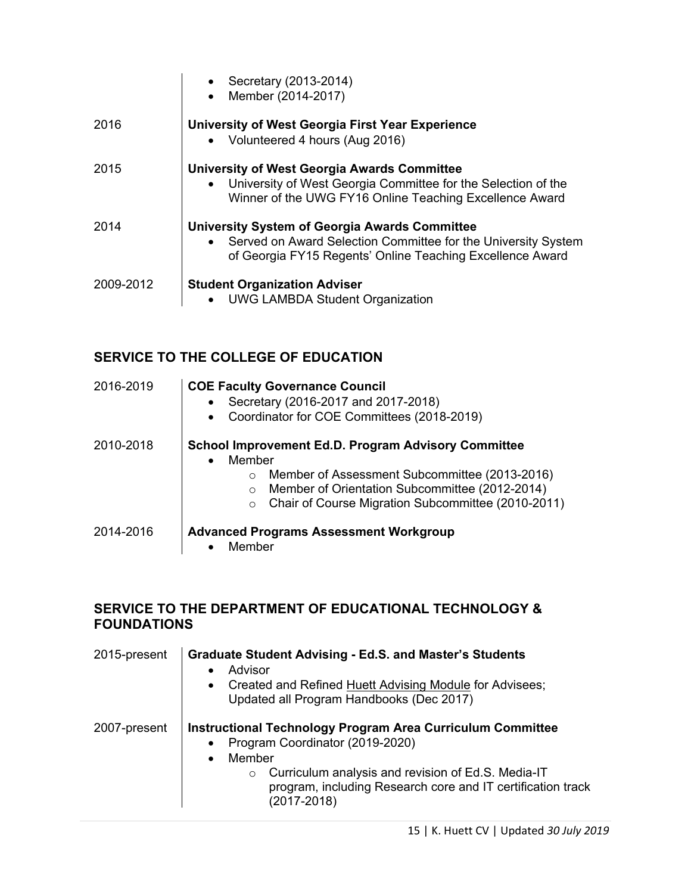|           | Secretary (2013-2014)<br>Member (2014-2017)                                                                                                                                          |
|-----------|--------------------------------------------------------------------------------------------------------------------------------------------------------------------------------------|
| 2016      | University of West Georgia First Year Experience<br>• Volunteered 4 hours (Aug 2016)                                                                                                 |
| 2015      | <b>University of West Georgia Awards Committee</b><br>• University of West Georgia Committee for the Selection of the<br>Winner of the UWG FY16 Online Teaching Excellence Award     |
| 2014      | <b>University System of Georgia Awards Committee</b><br>• Served on Award Selection Committee for the University System<br>of Georgia FY15 Regents' Online Teaching Excellence Award |
| 2009-2012 | <b>Student Organization Adviser</b><br>• UWG LAMBDA Student Organization                                                                                                             |

## **SERVICE TO THE COLLEGE OF EDUCATION**

| 2016-2019 | <b>COE Faculty Governance Council</b><br>Secretary (2016-2017 and 2017-2018)<br>Coordinator for COE Committees (2018-2019)<br>$\bullet$                                                                                                                  |
|-----------|----------------------------------------------------------------------------------------------------------------------------------------------------------------------------------------------------------------------------------------------------------|
| 2010-2018 | <b>School Improvement Ed.D. Program Advisory Committee</b><br>Member<br>Member of Assessment Subcommittee (2013-2016)<br>O<br>Member of Orientation Subcommittee (2012-2014)<br>$\circ$<br>Chair of Course Migration Subcommittee (2010-2011)<br>$\circ$ |
| 2014-2016 | <b>Advanced Programs Assessment Workgroup</b><br>Member                                                                                                                                                                                                  |

### **SERVICE TO THE DEPARTMENT OF EDUCATIONAL TECHNOLOGY & FOUNDATIONS**

| 2015-present | <b>Graduate Student Advising - Ed.S. and Master's Students</b><br>Advisor<br>$\bullet$<br>Created and Refined Huett Advising Module for Advisees;<br>$\bullet$<br>Updated all Program Handbooks (Dec 2017)                                                                              |
|--------------|-----------------------------------------------------------------------------------------------------------------------------------------------------------------------------------------------------------------------------------------------------------------------------------------|
| 2007-present | <b>Instructional Technology Program Area Curriculum Committee</b><br>Program Coordinator (2019-2020)<br>$\bullet$<br>Member<br>$\bullet$<br>Curriculum analysis and revision of Ed.S. Media-IT<br>$\circ$<br>program, including Research core and IT certification track<br>(2017-2018) |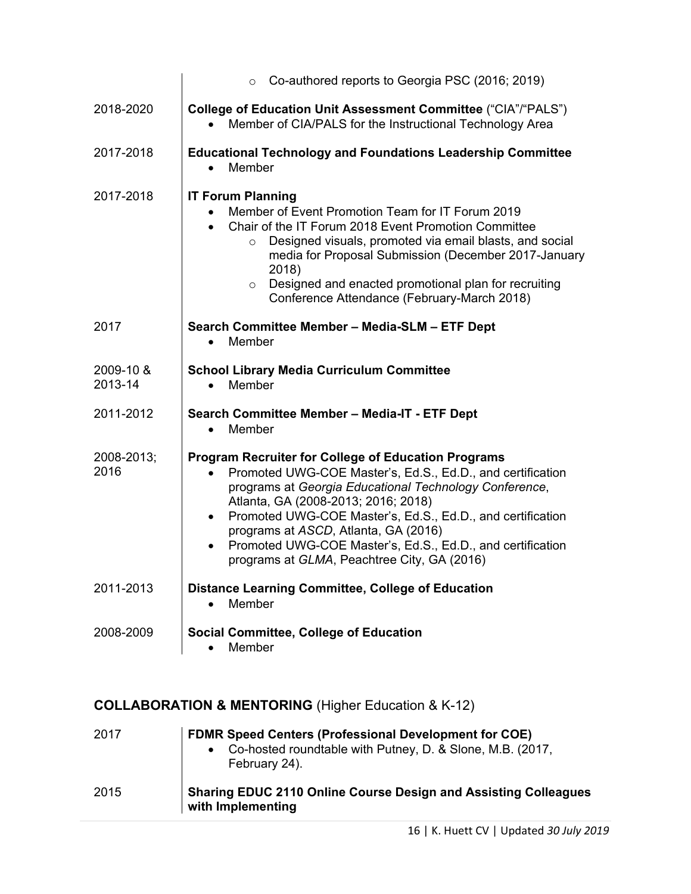|                      | Co-authored reports to Georgia PSC (2016; 2019)<br>$\circ$                                                                                                                                                                                                                                                                                                                                                                                                                          |
|----------------------|-------------------------------------------------------------------------------------------------------------------------------------------------------------------------------------------------------------------------------------------------------------------------------------------------------------------------------------------------------------------------------------------------------------------------------------------------------------------------------------|
| 2018-2020            | College of Education Unit Assessment Committee ("CIA"/"PALS")<br>Member of CIA/PALS for the Instructional Technology Area                                                                                                                                                                                                                                                                                                                                                           |
| 2017-2018            | <b>Educational Technology and Foundations Leadership Committee</b><br>Member                                                                                                                                                                                                                                                                                                                                                                                                        |
| 2017-2018            | <b>IT Forum Planning</b><br>Member of Event Promotion Team for IT Forum 2019<br>Chair of the IT Forum 2018 Event Promotion Committee<br>$\bullet$<br>Designed visuals, promoted via email blasts, and social<br>$\circ$<br>media for Proposal Submission (December 2017-January<br>2018)<br>Designed and enacted promotional plan for recruiting<br>$\circ$<br>Conference Attendance (February-March 2018)                                                                          |
| 2017                 | Search Committee Member - Media-SLM - ETF Dept<br>Member<br>$\bullet$                                                                                                                                                                                                                                                                                                                                                                                                               |
| 2009-10 &<br>2013-14 | <b>School Library Media Curriculum Committee</b><br>Member<br>$\bullet$                                                                                                                                                                                                                                                                                                                                                                                                             |
| 2011-2012            | Search Committee Member - Media-IT - ETF Dept<br>Member<br>$\bullet$                                                                                                                                                                                                                                                                                                                                                                                                                |
| 2008-2013;<br>2016   | <b>Program Recruiter for College of Education Programs</b><br>Promoted UWG-COE Master's, Ed.S., Ed.D., and certification<br>$\bullet$<br>programs at Georgia Educational Technology Conference,<br>Atlanta, GA (2008-2013; 2016; 2018)<br>Promoted UWG-COE Master's, Ed.S., Ed.D., and certification<br>$\bullet$<br>programs at ASCD, Atlanta, GA (2016)<br>Promoted UWG-COE Master's, Ed.S., Ed.D., and certification<br>$\bullet$<br>programs at GLMA, Peachtree City, GA (2016) |
| 2011-2013            | <b>Distance Learning Committee, College of Education</b><br>Member                                                                                                                                                                                                                                                                                                                                                                                                                  |
| 2008-2009            | <b>Social Committee, College of Education</b><br>Member                                                                                                                                                                                                                                                                                                                                                                                                                             |

# **COLLABORATION & MENTORING** (Higher Education & K-12)

| 2017 | <b>FDMR Speed Centers (Professional Development for COE)</b><br>Co-hosted roundtable with Putney, D. & Slone, M.B. (2017,<br>$\bullet$<br>February 24). |
|------|---------------------------------------------------------------------------------------------------------------------------------------------------------|
| 2015 | <b>Sharing EDUC 2110 Online Course Design and Assisting Colleagues</b><br>with Implementing                                                             |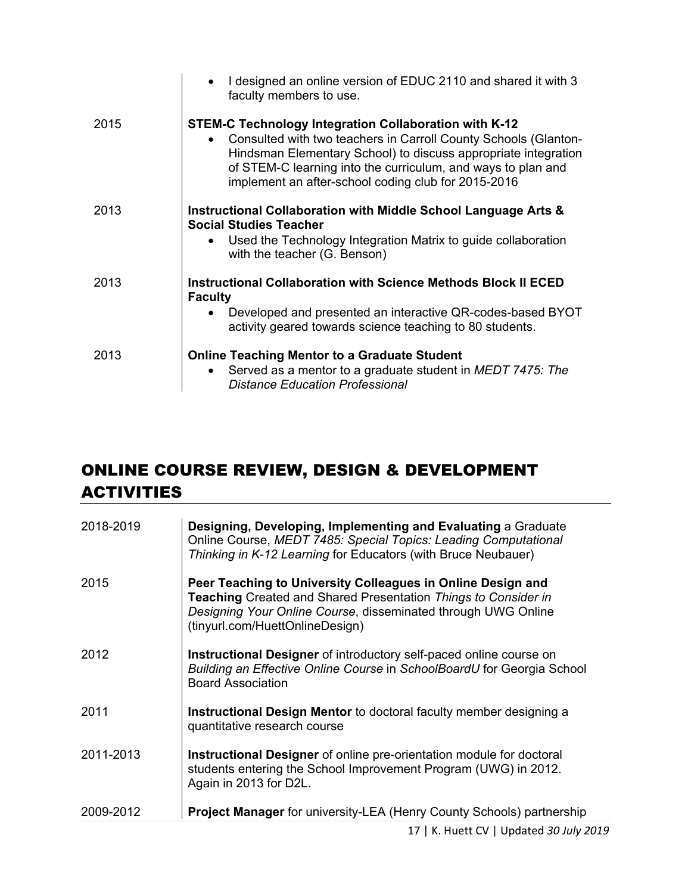|      | I designed an online version of EDUC 2110 and shared it with 3<br>faculty members to use.                                                                                                                                                                                                                                      |
|------|--------------------------------------------------------------------------------------------------------------------------------------------------------------------------------------------------------------------------------------------------------------------------------------------------------------------------------|
| 2015 | STEM-C Technology Integration Collaboration with K-12<br>Consulted with two teachers in Carroll County Schools (Glanton-<br>$\bullet$<br>Hindsman Elementary School) to discuss appropriate integration<br>of STEM-C learning into the curriculum, and ways to plan and<br>implement an after-school coding club for 2015-2016 |
| 2013 | Instructional Collaboration with Middle School Language Arts &<br><b>Social Studies Teacher</b><br>Used the Technology Integration Matrix to guide collaboration<br>with the teacher (G. Benson)                                                                                                                               |
| 2013 | <b>Instructional Collaboration with Science Methods Block II ECED</b><br><b>Faculty</b><br>Developed and presented an interactive QR-codes-based BYOT<br>activity geared towards science teaching to 80 students.                                                                                                              |
| 2013 | <b>Online Teaching Mentor to a Graduate Student</b><br>Served as a mentor to a graduate student in MEDT 7475: The<br><b>Distance Education Professional</b>                                                                                                                                                                    |

# ONLINE COURSE REVIEW, DESIGN & DEVELOPMENT ACTIVITIES

| 2018-2019 | Designing, Developing, Implementing and Evaluating a Graduate<br>Online Course, MEDT 7485: Special Topics: Leading Computational<br>Thinking in K-12 Learning for Educators (with Bruce Neubauer)                                 |
|-----------|-----------------------------------------------------------------------------------------------------------------------------------------------------------------------------------------------------------------------------------|
| 2015      | Peer Teaching to University Colleagues in Online Design and<br>Teaching Created and Shared Presentation Things to Consider in<br>Designing Your Online Course, disseminated through UWG Online<br>(tinyurl.com/HuettOnlineDesign) |
| 2012      | Instructional Designer of introductory self-paced online course on<br>Building an Effective Online Course in SchoolBoardU for Georgia School<br><b>Board Association</b>                                                          |
| 2011      | <b>Instructional Design Mentor</b> to doctoral faculty member designing a<br>quantitative research course                                                                                                                         |
| 2011-2013 | <b>Instructional Designer</b> of online pre-orientation module for doctoral<br>students entering the School Improvement Program (UWG) in 2012.<br>Again in 2013 for D2L.                                                          |
| 2009-2012 | <b>Project Manager for university-LEA (Henry County Schools) partnership</b>                                                                                                                                                      |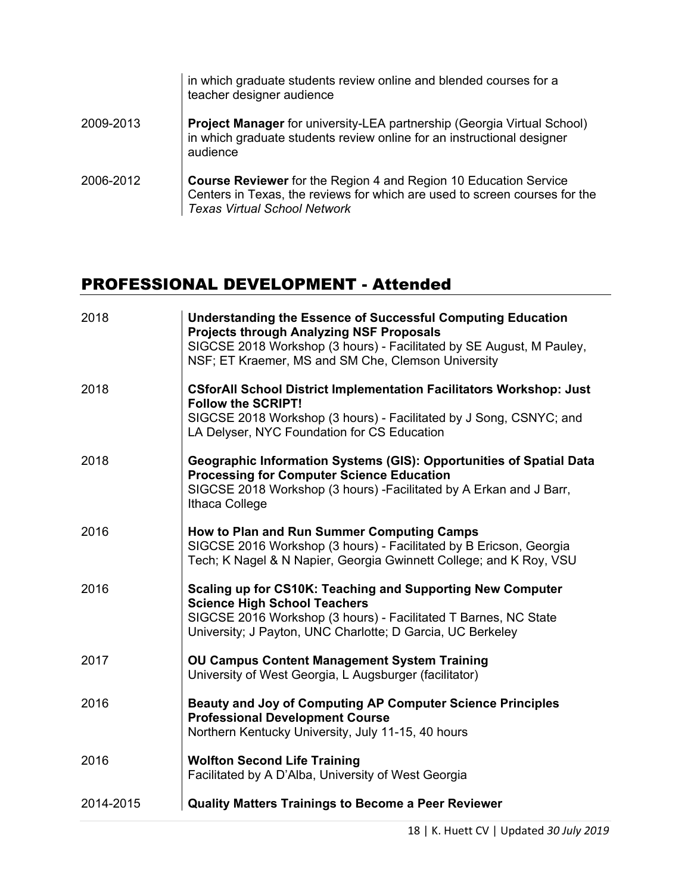|           | in which graduate students review online and blended courses for a<br>teacher designer audience                                                                                              |
|-----------|----------------------------------------------------------------------------------------------------------------------------------------------------------------------------------------------|
| 2009-2013 | Project Manager for university-LEA partnership (Georgia Virtual School)<br>in which graduate students review online for an instructional designer<br>audience                                |
| 2006-2012 | <b>Course Reviewer</b> for the Region 4 and Region 10 Education Service<br>Centers in Texas, the reviews for which are used to screen courses for the<br><b>Texas Virtual School Network</b> |

# PROFESSIONAL DEVELOPMENT - Attended

| 2018      | <b>Understanding the Essence of Successful Computing Education</b><br><b>Projects through Analyzing NSF Proposals</b><br>SIGCSE 2018 Workshop (3 hours) - Facilitated by SE August, M Pauley,<br>NSF; ET Kraemer, MS and SM Che, Clemson University |
|-----------|-----------------------------------------------------------------------------------------------------------------------------------------------------------------------------------------------------------------------------------------------------|
| 2018      | <b>CSforAll School District Implementation Facilitators Workshop: Just</b><br><b>Follow the SCRIPT!</b><br>SIGCSE 2018 Workshop (3 hours) - Facilitated by J Song, CSNYC; and<br>LA Delyser, NYC Foundation for CS Education                        |
| 2018      | Geographic Information Systems (GIS): Opportunities of Spatial Data<br><b>Processing for Computer Science Education</b><br>SIGCSE 2018 Workshop (3 hours) - Facilitated by A Erkan and J Barr,<br>Ithaca College                                    |
| 2016      | How to Plan and Run Summer Computing Camps<br>SIGCSE 2016 Workshop (3 hours) - Facilitated by B Ericson, Georgia<br>Tech; K Nagel & N Napier, Georgia Gwinnett College; and K Roy, VSU                                                              |
| 2016      | Scaling up for CS10K: Teaching and Supporting New Computer<br><b>Science High School Teachers</b><br>SIGCSE 2016 Workshop (3 hours) - Facilitated T Barnes, NC State<br>University; J Payton, UNC Charlotte; D Garcia, UC Berkeley                  |
| 2017      | <b>OU Campus Content Management System Training</b><br>University of West Georgia, L Augsburger (facilitator)                                                                                                                                       |
| 2016      | <b>Beauty and Joy of Computing AP Computer Science Principles</b><br><b>Professional Development Course</b><br>Northern Kentucky University, July 11-15, 40 hours                                                                                   |
| 2016      | <b>Wolfton Second Life Training</b><br>Facilitated by A D'Alba, University of West Georgia                                                                                                                                                          |
| 2014-2015 | <b>Quality Matters Trainings to Become a Peer Reviewer</b>                                                                                                                                                                                          |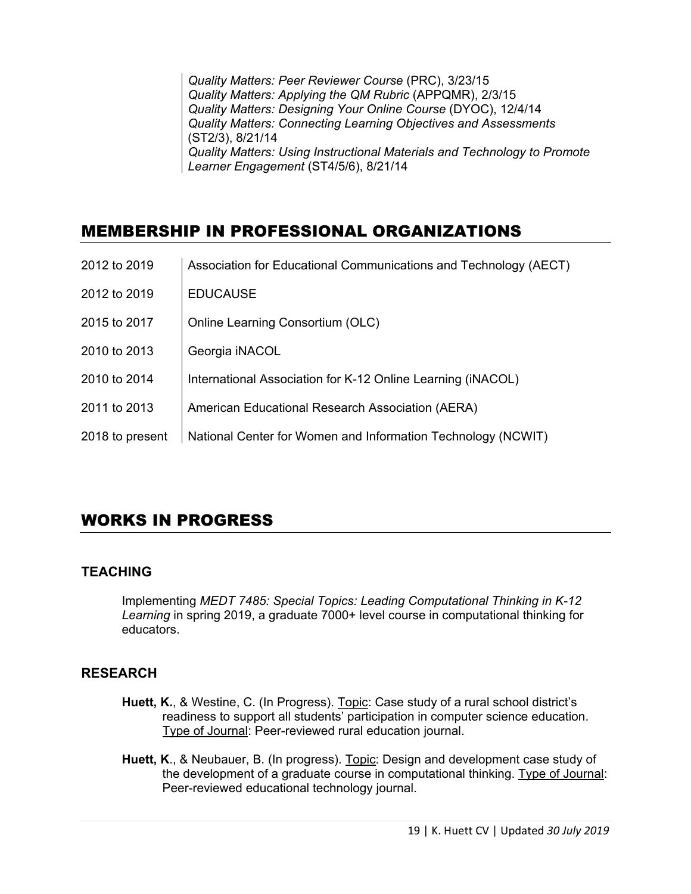*Quality Matters: Peer Reviewer Course* (PRC), 3/23/15 *Quality Matters: Applying the QM Rubric* (APPQMR), 2/3/15 *Quality Matters: Designing Your Online Course* (DYOC), 12/4/14 *Quality Matters: Connecting Learning Objectives and Assessments* (ST2/3), 8/21/14 *Quality Matters: Using Instructional Materials and Technology to Promote Learner Engagement* (ST4/5/6), 8/21/14

# MEMBERSHIP IN PROFESSIONAL ORGANIZATIONS

| 2012 to 2019    | Association for Educational Communications and Technology (AECT) |
|-----------------|------------------------------------------------------------------|
| 2012 to 2019    | <b>EDUCAUSE</b>                                                  |
| 2015 to 2017    | <b>Online Learning Consortium (OLC)</b>                          |
| 2010 to 2013    | Georgia iNACOL                                                   |
| 2010 to 2014    | International Association for K-12 Online Learning (iNACOL)      |
| 2011 to 2013    | American Educational Research Association (AERA)                 |
| 2018 to present | National Center for Women and Information Technology (NCWIT)     |

# WORKS IN PROGRESS

### **TEACHING**

Implementing *MEDT 7485: Special Topics: Leading Computational Thinking in K-12 Learning* in spring 2019, a graduate 7000+ level course in computational thinking for educators.

### **RESEARCH**

- **Huett, K.**, & Westine, C. (In Progress). Topic: Case study of a rural school district's readiness to support all students' participation in computer science education. Type of Journal: Peer-reviewed rural education journal.
- **Huett, K**., & Neubauer, B. (In progress). Topic: Design and development case study of the development of a graduate course in computational thinking. Type of Journal: Peer-reviewed educational technology journal.